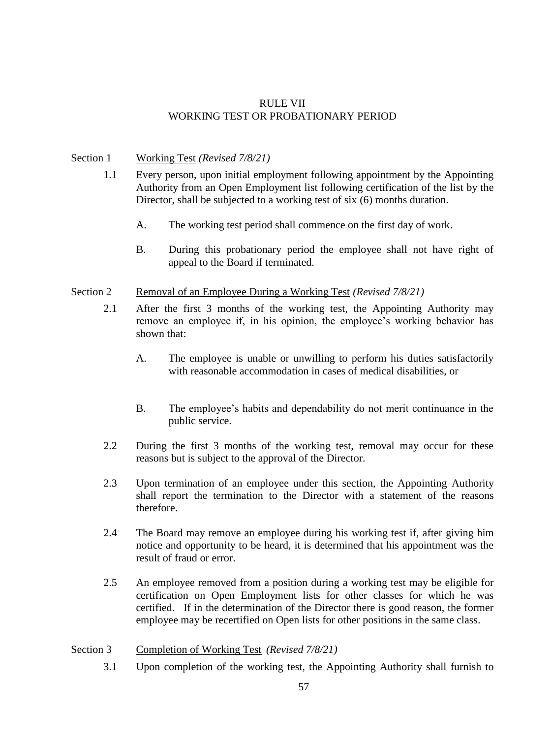# RULE VII WORKING TEST OR PROBATIONARY PERIOD

### Section 1 Working Test *(Revised 7/8/21)*

- 1.1 Every person, upon initial employment following appointment by the Appointing Authority from an Open Employment list following certification of the list by the Director, shall be subjected to a working test of six (6) months duration.
	- A. The working test period shall commence on the first day of work.
	- B. During this probationary period the employee shall not have right of appeal to the Board if terminated.

## Section 2 Removal of an Employee During a Working Test *(Revised 7/8/21)*

- 2.1 After the first 3 months of the working test, the Appointing Authority may remove an employee if, in his opinion, the employee's working behavior has shown that:
	- A. The employee is unable or unwilling to perform his duties satisfactorily with reasonable accommodation in cases of medical disabilities, or
	- B. The employee's habits and dependability do not merit continuance in the public service.
- 2.2 During the first 3 months of the working test, removal may occur for these reasons but is subject to the approval of the Director.
- 2.3 Upon termination of an employee under this section, the Appointing Authority shall report the termination to the Director with a statement of the reasons therefore.
- 2.4 The Board may remove an employee during his working test if, after giving him notice and opportunity to be heard, it is determined that his appointment was the result of fraud or error.
- 2.5 An employee removed from a position during a working test may be eligible for certification on Open Employment lists for other classes for which he was certified.If in the determination of the Director there is good reason, the former employee may be recertified on Open lists for other positions in the same class.

# Section 3 Completion of Working Test *(Revised 7/8/21)*

3.1 Upon completion of the working test, the Appointing Authority shall furnish to